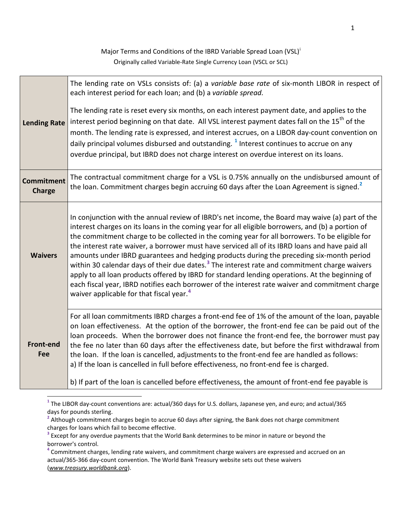Major Terms and Cond[i](#page-3-0)tions of the IBRD Variable Spread Loan (VSL)<sup>i</sup> Originally called Variable-Rate Single Currency Loan (VSCL or SCL)

| The lending rate on VSLs consists of: (a) a variable base rate of six-month LIBOR in respect of<br>The lending rate is reset every six months, on each interest payment date, and applies to the<br>interest period beginning on that date. All VSL interest payment dates fall on the 15 <sup>th</sup> of the<br>month. The lending rate is expressed, and interest accrues, on a LIBOR day-count convention on                                                                                                                                                                                                                                                                                                                                                                                                        |
|-------------------------------------------------------------------------------------------------------------------------------------------------------------------------------------------------------------------------------------------------------------------------------------------------------------------------------------------------------------------------------------------------------------------------------------------------------------------------------------------------------------------------------------------------------------------------------------------------------------------------------------------------------------------------------------------------------------------------------------------------------------------------------------------------------------------------|
| The contractual commitment charge for a VSL is 0.75% annually on the undisbursed amount of<br>the loan. Commitment charges begin accruing 60 days after the Loan Agreement is signed. <sup>2</sup>                                                                                                                                                                                                                                                                                                                                                                                                                                                                                                                                                                                                                      |
| In conjunction with the annual review of IBRD's net income, the Board may waive (a) part of the<br>interest charges on its loans in the coming year for all eligible borrowers, and (b) a portion of<br>the commitment charge to be collected in the coming year for all borrowers. To be eligible for<br>the interest rate waiver, a borrower must have serviced all of its IBRD loans and have paid all<br>amounts under IBRD guarantees and hedging products during the preceding six-month period<br>within 30 calendar days of their due dates. <sup>3</sup> The interest rate and commitment charge waivers<br>apply to all loan products offered by IBRD for standard lending operations. At the beginning of<br>each fiscal year, IBRD notifies each borrower of the interest rate waiver and commitment charge |
| For all loan commitments IBRD charges a front-end fee of 1% of the amount of the loan, payable<br>on loan effectiveness. At the option of the borrower, the front-end fee can be paid out of the<br>loan proceeds. When the borrower does not finance the front-end fee, the borrower must pay<br>the fee no later than 60 days after the effectiveness date, but before the first withdrawal from<br>the loan. If the loan is cancelled, adjustments to the front-end fee are handled as follows:<br>b) If part of the loan is cancelled before effectiveness, the amount of front-end fee payable is                                                                                                                                                                                                                  |
|                                                                                                                                                                                                                                                                                                                                                                                                                                                                                                                                                                                                                                                                                                                                                                                                                         |

<span id="page-0-0"></span>**<sup>1</sup>** The LIBOR day-count conventions are: actual/360 days for U.S. dollars, Japanese yen, and euro; and actual/365 days for pounds sterling.

<span id="page-0-1"></span><sup>&</sup>lt;sup>2</sup> Although commitment charges begin to accrue 60 days after signing, the Bank does not charge commitment charges for loans which fail to become effective.<br><sup>3</sup> Except for any overdue payments that the World Bank determines to be minor in nature or beyond the

<span id="page-0-2"></span>borrower's control.

<span id="page-0-3"></span>**<sup>4</sup>** Commitment charges, lending rate waivers, and commitment charge waivers are expressed and accrued on an actual/365-366 day-count convention. The World Bank Treasury website sets out these waivers (*www.treasury.worldbank.org*).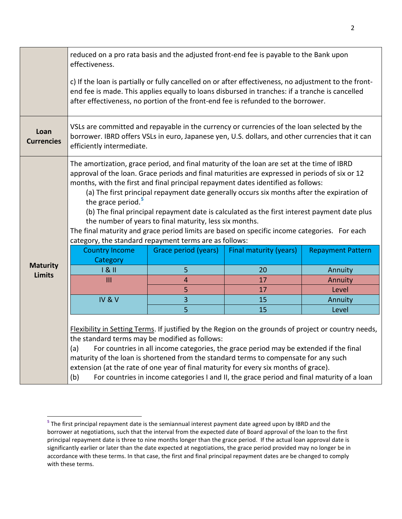|                                  | reduced on a pro rata basis and the adjusted front-end fee is payable to the Bank upon<br>effectiveness.                                                                                                                                                                                                                                                                                                                                                                                                                                                                                                                                                                                                                               |                         |                                                                                       |                          |  |
|----------------------------------|----------------------------------------------------------------------------------------------------------------------------------------------------------------------------------------------------------------------------------------------------------------------------------------------------------------------------------------------------------------------------------------------------------------------------------------------------------------------------------------------------------------------------------------------------------------------------------------------------------------------------------------------------------------------------------------------------------------------------------------|-------------------------|---------------------------------------------------------------------------------------|--------------------------|--|
|                                  | c) If the loan is partially or fully cancelled on or after effectiveness, no adjustment to the front-<br>end fee is made. This applies equally to loans disbursed in tranches: if a tranche is cancelled<br>after effectiveness, no portion of the front-end fee is refunded to the borrower.                                                                                                                                                                                                                                                                                                                                                                                                                                          |                         |                                                                                       |                          |  |
| Loan<br><b>Currencies</b>        | VSLs are committed and repayable in the currency or currencies of the loan selected by the<br>borrower. IBRD offers VSLs in euro, Japanese yen, U.S. dollars, and other currencies that it can<br>efficiently intermediate.                                                                                                                                                                                                                                                                                                                                                                                                                                                                                                            |                         |                                                                                       |                          |  |
|                                  | The amortization, grace period, and final maturity of the loan are set at the time of IBRD<br>approval of the loan. Grace periods and final maturities are expressed in periods of six or 12<br>months, with the first and final principal repayment dates identified as follows:<br>(a) The first principal repayment date generally occurs six months after the expiration of<br>the grace period. <sup>5</sup><br>(b) The final principal repayment date is calculated as the first interest payment date plus<br>the number of years to final maturity, less six months.<br>The final maturity and grace period limits are based on specific income categories. For each<br>category, the standard repayment terms are as follows: |                         |                                                                                       |                          |  |
| <b>Maturity</b><br><b>Limits</b> | <b>Country Income</b><br>Category                                                                                                                                                                                                                                                                                                                                                                                                                                                                                                                                                                                                                                                                                                      | Grace period (years)    | <b>Final maturity (years)</b>                                                         | <b>Repayment Pattern</b> |  |
|                                  | 181                                                                                                                                                                                                                                                                                                                                                                                                                                                                                                                                                                                                                                                                                                                                    | 5                       | 20                                                                                    | Annuity                  |  |
|                                  | III                                                                                                                                                                                                                                                                                                                                                                                                                                                                                                                                                                                                                                                                                                                                    | $\overline{4}$          | 17                                                                                    | Annuity                  |  |
|                                  |                                                                                                                                                                                                                                                                                                                                                                                                                                                                                                                                                                                                                                                                                                                                        | 5                       | 17                                                                                    | Level                    |  |
|                                  | IV&V                                                                                                                                                                                                                                                                                                                                                                                                                                                                                                                                                                                                                                                                                                                                   | $\overline{\mathbf{3}}$ | 15                                                                                    | Annuity                  |  |
|                                  |                                                                                                                                                                                                                                                                                                                                                                                                                                                                                                                                                                                                                                                                                                                                        | 5                       | 15                                                                                    | Level                    |  |
|                                  | Flexibility in Setting Terms. If justified by the Region on the grounds of project or country needs,<br>the standard terms may be modified as follows:<br>(a)<br>maturity of the loan is shortened from the standard terms to compensate for any such                                                                                                                                                                                                                                                                                                                                                                                                                                                                                  |                         | For countries in all income categories, the grace period may be extended if the final |                          |  |

<span id="page-1-0"></span>**<sup>5</sup>** The first principal repayment date is the semiannual interest payment date agreed upon by IBRD and the borrower at negotiations, such that the interval from the expected date of Board approval of the loan to the first principal repayment date is three to nine months longer than the grace period. If the actual loan approval date is significantly earlier or later than the date expected at negotiations, the grace period provided may no longer be in accordance with these terms. In that case, the first and final principal repayment dates are be changed to comply with these terms.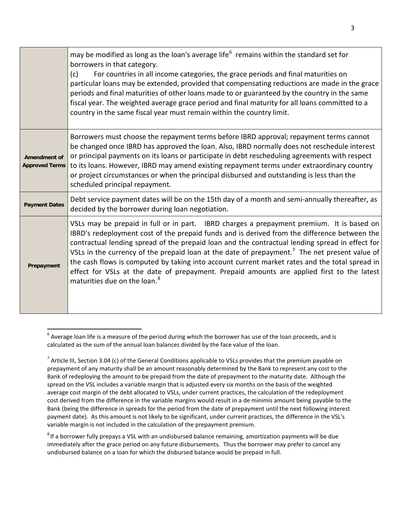|                                              | may be modified as long as the loan's average life <sup>6</sup> remains within the standard set for<br>borrowers in that category.<br>For countries in all income categories, the grace periods and final maturities on<br>(c)<br>particular loans may be extended, provided that compensating reductions are made in the grace<br>periods and final maturities of other loans made to or guaranteed by the country in the same<br>fiscal year. The weighted average grace period and final maturity for all loans committed to a<br>country in the same fiscal year must remain within the country limit.                                            |
|----------------------------------------------|-------------------------------------------------------------------------------------------------------------------------------------------------------------------------------------------------------------------------------------------------------------------------------------------------------------------------------------------------------------------------------------------------------------------------------------------------------------------------------------------------------------------------------------------------------------------------------------------------------------------------------------------------------|
| <b>Amendment of</b><br><b>Approved Terms</b> | Borrowers must choose the repayment terms before IBRD approval; repayment terms cannot<br>be changed once IBRD has approved the loan. Also, IBRD normally does not reschedule interest<br>or principal payments on its loans or participate in debt rescheduling agreements with respect<br>to its loans. However, IBRD may amend existing repayment terms under extraordinary country<br>or project circumstances or when the principal disbursed and outstanding is less than the<br>scheduled principal repayment.                                                                                                                                 |
| <b>Payment Dates</b>                         | Debt service payment dates will be on the 15th day of a month and semi-annually thereafter, as<br>decided by the borrower during loan negotiation.                                                                                                                                                                                                                                                                                                                                                                                                                                                                                                    |
| Prepayment                                   | VSLs may be prepaid in full or in part. IBRD charges a prepayment premium. It is based on<br>IBRD's redeployment cost of the prepaid funds and is derived from the difference between the<br>contractual lending spread of the prepaid loan and the contractual lending spread in effect for<br>VSLs in the currency of the prepaid loan at the date of prepayment. <sup>7</sup> The net present value of<br>the cash flows is computed by taking into account current market rates and the total spread in<br>effect for VSLs at the date of prepayment. Prepaid amounts are applied first to the latest<br>maturities due on the loan. <sup>8</sup> |

<span id="page-2-0"></span>**<sup>6</sup>** Average loan life is a measure of the period during which the borrower has use of the loan proceeds, and is calculated as the sum of the annual loan balances divided by the face value of the loan.

<span id="page-2-1"></span><sup>&</sup>lt;sup>7</sup> Article III, Section 3.04 (c) of the General Conditions applicable to VSLs provides that the premium payable on prepayment of any maturity shall be an amount reasonably determined by the Bank to represent any cost to the Bank of redeploying the amount to be prepaid from the date of prepayment to the maturity date. Although the spread on the VSL includes a variable margin that is adjusted every six months on the basis of the weighted average cost margin of the debt allocated to VSLs, under current practices, the calculation of the redeployment cost derived from the difference in the variable margins would result in a de minimis amount being payable to the Bank (being the difference in spreads for the period from the date of prepayment until the next following interest payment date). As this amount is not likely to be significant, under current practices, the difference in the VSL's variable margin is not included in the calculation of the prepayment premium.

<span id="page-2-2"></span>**<sup>8</sup>** If a borrower fully prepays a VSL with an undisbursed balance remaining, amortization payments will be due immediately after the grace period on any future disbursements. Thus the borrower may prefer to cancel any undisbursed balance on a loan for which the disbursed balance would be prepaid in full.